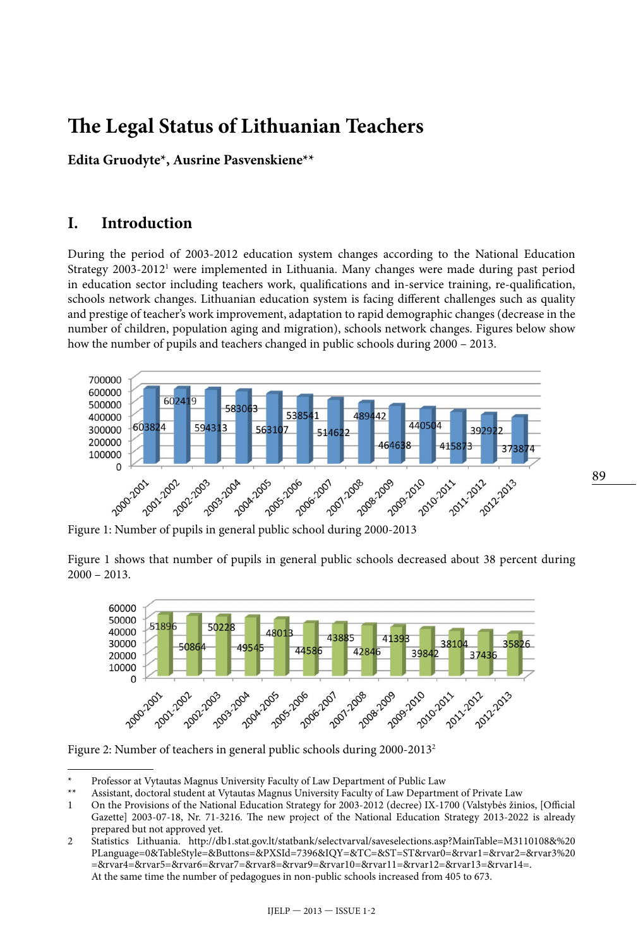# **The Legal Status of Lithuanian Teachers**

**Edita Gruodyte\*, Ausrine Pasvenskiene\*\***

# **I. Introduction**

During the period of 2003-2012 education system changes according to the National Education Strategy 2003-20121 were implemented in Lithuania. Many changes were made during past period in education sector including teachers work, qualifications and in-service training, re-qualification, schools network changes. Lithuanian education system is facing different challenges such as quality and prestige of teacher's work improvement, adaptation to rapid demographic changes (decrease in the number of children, population aging and migration), schools network changes. Figures below show how the number of pupils and teachers changed in public schools during 2000 – 2013.



Figure 1: Number of pupils in general public school during 2000-2013

Figure 1 shows that number of pupils in general public schools decreased about 38 percent during  $2000 - 2013$ .



Figure 2: Number of teachers in general public schools during 2000-20132

Professor at Vytautas Magnus University Faculty of Law Department of Public Law

<sup>\*\*</sup> Assistant, doctoral student at Vytautas Magnus University Faculty of Law Department of Private Law

<sup>1</sup> On the Provisions of the National Education Strategy for 2003-2012 (decree) IX-1700 (Valstybės žinios, [Official Gazette] 2003-07-18, Nr. 71-3216. The new project of the National Education Strategy 2013-2022 is already prepared but not approved yet.

<sup>2</sup> Statistics Lithuania. [http://db1.stat.gov.lt/statbank/selectvarval/saveselections.asp?MainTable=M3110108&%20](http://db1.stat.gov.lt/statbank/selectvarval/saveselections.asp?MainTable=M3110108&%20PLanguage=0&TableStyle=&Buttons=&PXSId=7396&IQY=&TC=&ST=ST&rvar0=&rvar1=&rvar2=&rvar3%20=&rvar4=&rvar5=&rvar6=&rvar7=&rvar8=&rvar9=&rvar10=&rvar11=&rvar12=&rvar13=&rvar14) [PLanguage=0&TableStyle=&Buttons=&PXSId=7396&IQY=&TC=&ST=ST&rvar0=&rvar1=&rvar2=&rvar3%20](http://db1.stat.gov.lt/statbank/selectvarval/saveselections.asp?MainTable=M3110108&%20PLanguage=0&TableStyle=&Buttons=&PXSId=7396&IQY=&TC=&ST=ST&rvar0=&rvar1=&rvar2=&rvar3%20=&rvar4=&rvar5=&rvar6=&rvar7=&rvar8=&rvar9=&rvar10=&rvar11=&rvar12=&rvar13=&rvar14) [=&rvar4=&rvar5=&rvar6=&rvar7=&rvar8=&rvar9=&rvar10=&rvar11=&rvar12=&rvar13=&rvar14](http://db1.stat.gov.lt/statbank/selectvarval/saveselections.asp?MainTable=M3110108&%20PLanguage=0&TableStyle=&Buttons=&PXSId=7396&IQY=&TC=&ST=ST&rvar0=&rvar1=&rvar2=&rvar3%20=&rvar4=&rvar5=&rvar6=&rvar7=&rvar8=&rvar9=&rvar10=&rvar11=&rvar12=&rvar13=&rvar14)=. At the same time the number of pedagogues in non-public schools increased from 405 to 673.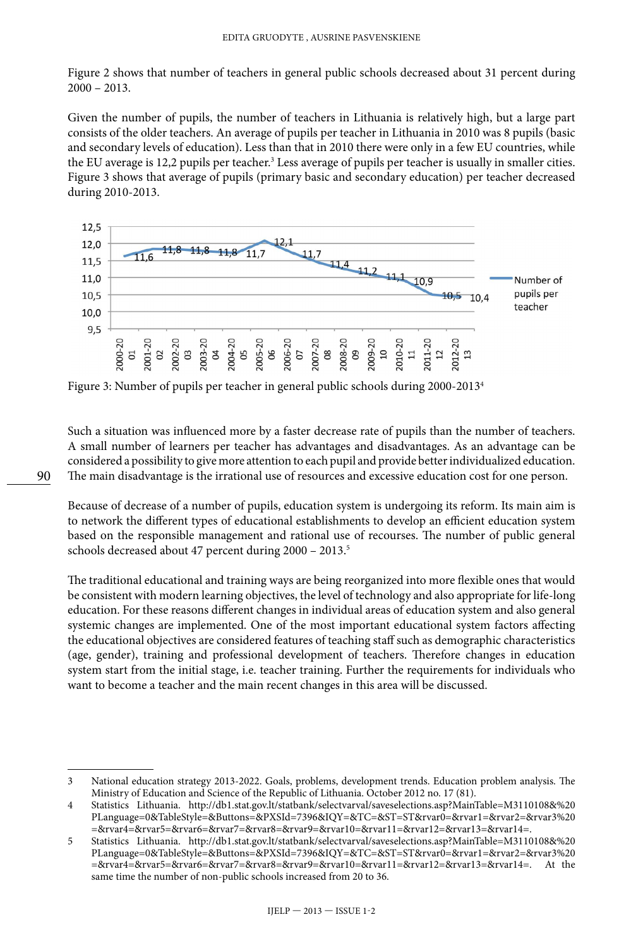Figure 2 shows that number of teachers in general public schools decreased about 31 percent during  $2000 - 2013$ .

Given the number of pupils, the number of teachers in Lithuania is relatively high, but a large part consists of the older teachers. An average of pupils per teacher in Lithuania in 2010 was 8 pupils (basic and secondary levels of education). Less than that in 2010 there were only in a few EU countries, while the EU average is 12,2 pupils per teacher.<sup>3</sup> Less average of pupils per teacher is usually in smaller cities. Figure 3 shows that average of pupils (primary basic and secondary education) per teacher decreased during 2010-2013.



Figure 3: Number of pupils per teacher in general public schools during 2000-20134

Such a situation was influenced more by a faster decrease rate of pupils than the number of teachers. A small number of learners per teacher has advantages and disadvantages. As an advantage can be considered a possibility to give more attention to each pupil and provide better individualized education. The main disadvantage is the irrational use of resources and excessive education cost for one person.

Because of decrease of a number of pupils, education system is undergoing its reform. Its main aim is to network the different types of educational establishments to develop an efficient education system based on the responsible management and rational use of recourses. The number of public general schools decreased about 47 percent during 2000 - 2013.<sup>5</sup>

The traditional educational and training ways are being reorganized into more flexible ones that would be consistent with modern learning objectives, the level of technology and also appropriate for life-long education. For these reasons different changes in individual areas of education system and also general systemic changes are implemented. One of the most important educational system factors affecting the educational objectives are considered features of teaching staff such as demographic characteristics (age, gender), training and professional development of teachers. Therefore changes in education system start from the initial stage, i.e. teacher training. Further the requirements for individuals who want to become a teacher and the main recent changes in this area will be discussed.

90

<sup>3</sup> National education strategy 2013-2022. Goals, problems, development trends. Education problem analysis. The Ministry of Education and Science of the Republic of Lithuania. October 2012 no. 17 (81).

<sup>4</sup> Statistics Lithuania. [http://db1.stat.gov.lt/statbank/selectvarval/saveselections.asp?MainTable=M3110108&%20](http://db1.stat.gov.lt/statbank/selectvarval/saveselections.asp?MainTable=M3110108&%20PLanguage=0&TableStyle=&Buttons=&PXSId=7396&IQY=&TC=&ST=ST&rvar0=&rvar1=&rvar2=&rvar3%20=&rvar4=&rvar5=&rvar6=&rvar7=&rvar8=&rvar9=&rvar10=&rvar11=&rvar12=&rvar13=&rvar14) [PLanguage=0&TableStyle=&Buttons=&PXSId=7396&IQY=&TC=&ST=ST&rvar0=&rvar1=&rvar2=&rvar3%20](http://db1.stat.gov.lt/statbank/selectvarval/saveselections.asp?MainTable=M3110108&%20PLanguage=0&TableStyle=&Buttons=&PXSId=7396&IQY=&TC=&ST=ST&rvar0=&rvar1=&rvar2=&rvar3%20=&rvar4=&rvar5=&rvar6=&rvar7=&rvar8=&rvar9=&rvar10=&rvar11=&rvar12=&rvar13=&rvar14) [=&rvar4=&rvar5=&rvar6=&rvar7=&rvar8=&rvar9=&rvar10=&rvar11=&rvar12=&rvar13=&rvar14](http://db1.stat.gov.lt/statbank/selectvarval/saveselections.asp?MainTable=M3110108&%20PLanguage=0&TableStyle=&Buttons=&PXSId=7396&IQY=&TC=&ST=ST&rvar0=&rvar1=&rvar2=&rvar3%20=&rvar4=&rvar5=&rvar6=&rvar7=&rvar8=&rvar9=&rvar10=&rvar11=&rvar12=&rvar13=&rvar14)=.

<sup>5</sup> Statistics Lithuania. [http://db1.stat.gov.lt/statbank/selectvarval/saveselections.asp?MainTable=M3110108&%20](http://db1.stat.gov.lt/statbank/selectvarval/saveselections.asp?MainTable=M3110108&%20PLanguage=0&TableStyle=&Buttons=&PXSId=7396&IQY=&TC=&ST=ST&rvar0=&rvar1=&rvar2=&rvar3%20=&rvar4=&rvar5=&rvar6=&rvar7=&rvar8=&rvar9=&rvar10=&rvar11=&rvar12=&rvar13=&rvar14) [PLanguage=0&TableStyle=&Buttons=&PXSId=7396&IQY=&TC=&ST=ST&rvar0=&rvar1=&rvar2=&rvar3%20](http://db1.stat.gov.lt/statbank/selectvarval/saveselections.asp?MainTable=M3110108&%20PLanguage=0&TableStyle=&Buttons=&PXSId=7396&IQY=&TC=&ST=ST&rvar0=&rvar1=&rvar2=&rvar3%20=&rvar4=&rvar5=&rvar6=&rvar7=&rvar8=&rvar9=&rvar10=&rvar11=&rvar12=&rvar13=&rvar14) [=&rvar4=&rvar5=&rvar6=&rvar7=&rvar8=&rvar9=&rvar10=&rvar11=&rvar12=&rvar13=&rvar14](http://db1.stat.gov.lt/statbank/selectvarval/saveselections.asp?MainTable=M3110108&%20PLanguage=0&TableStyle=&Buttons=&PXSId=7396&IQY=&TC=&ST=ST&rvar0=&rvar1=&rvar2=&rvar3%20=&rvar4=&rvar5=&rvar6=&rvar7=&rvar8=&rvar9=&rvar10=&rvar11=&rvar12=&rvar13=&rvar14)=. At the same time the number of non-public schools increased from 20 to 36.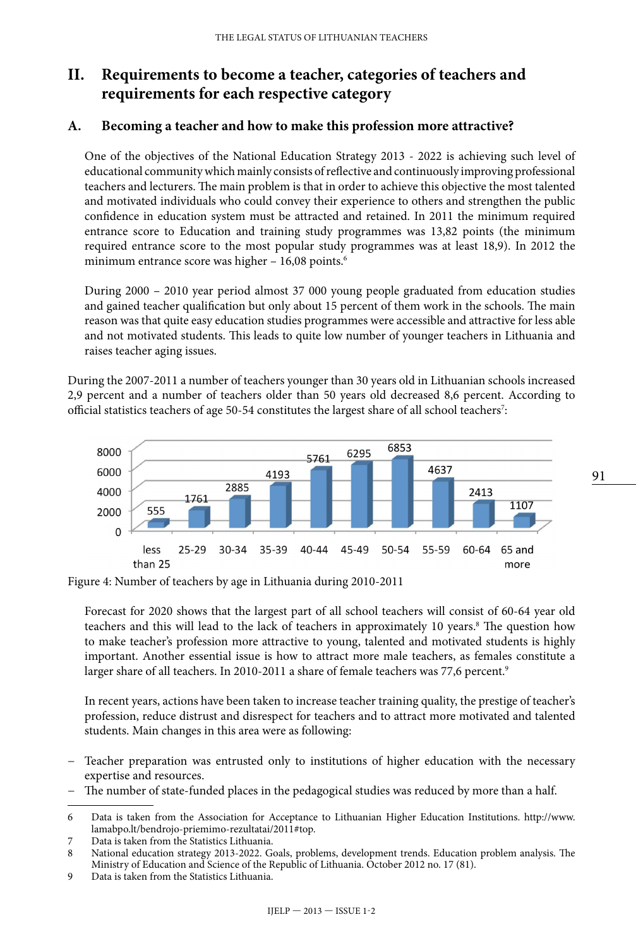# **II. Requirements to become a teacher, categories of teachers and requirements for each respective category**

#### **A. Becoming a teacher and how to make this profession more attractive?**

One of the objectives of the National Education Strategy 2013 - 2022 is achieving such level of educational community which mainly consists of reflective and continuously improving professional teachers and lecturers. The main problem is that in order to achieve this objective the most talented and motivated individuals who could convey their experience to others and strengthen the public confidence in education system must be attracted and retained. In 2011 the minimum required entrance score to Education and training study programmes was 13,82 points (the minimum required entrance score to the most popular study programmes was at least 18,9). In 2012 the minimum entrance score was higher - 16,08 points.<sup>6</sup>

During 2000 – 2010 year period almost 37 000 young people graduated from education studies and gained teacher qualification but only about 15 percent of them work in the schools. The main reason was that quite easy education studies programmes were accessible and attractive for less able and not motivated students. This leads to quite low number of younger teachers in Lithuania and raises teacher aging issues.

During the 2007-2011 a number of teachers younger than 30 years old in Lithuanian schools increased 2,9 percent and a number of teachers older than 50 years old decreased 8,6 percent. According to official statistics teachers of age 50-54 constitutes the largest share of all school teachers $^7$ :



Figure 4: Number of teachers by age in Lithuania during 2010-2011

Forecast for 2020 shows that the largest part of all school teachers will consist of 60-64 year old teachers and this will lead to the lack of teachers in approximately 10 years.<sup>8</sup> The question how to make teacher's profession more attractive to young, talented and motivated students is highly important. Another essential issue is how to attract more male teachers, as females constitute a larger share of all teachers. In 2010-2011 a share of female teachers was 77,6 percent.<sup>9</sup>

In recent years, actions have been taken to increase teacher training quality, the prestige of teacher's profession, reduce distrust and disrespect for teachers and to attract more motivated and talented students. Main changes in this area were as following:

- Teacher preparation was entrusted only to institutions of higher education with the necessary expertise and resources.
- − The number of state-funded places in the pedagogical studies was reduced by more than a half.

9 Data is taken from the Statistics Lithuania.

<sup>6</sup> Data is taken from the Association for Acceptance to Lithuanian Higher Education Institutions. http://www. lamabpo.lt/bendrojo-priemimo-rezultatai/2011#top.

<sup>7</sup> Data is taken from the Statistics Lithuania.<br>8 National education strategy 2013-2022. G

National education strategy 2013-2022. Goals, problems, development trends. Education problem analysis. The Ministry of Education and Science of the Republic of Lithuania. October 2012 no. 17 (81).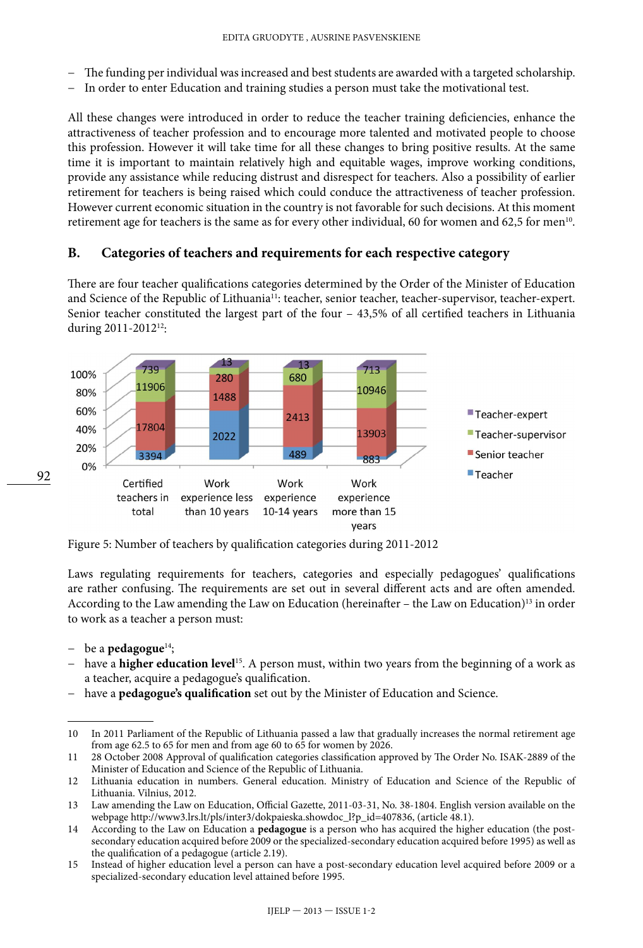- − The funding per individual was increased and best students are awarded with a targeted scholarship.
- − In order to enter Education and training studies a person must take the motivational test.

All these changes were introduced in order to reduce the teacher training deficiencies, enhance the attractiveness of teacher profession and to encourage more talented and motivated people to choose this profession. However it will take time for all these changes to bring positive results. At the same time it is important to maintain relatively high and equitable wages, improve working conditions, provide any assistance while reducing distrust and disrespect for teachers. Also a possibility of earlier retirement for teachers is being raised which could conduce the attractiveness of teacher profession. However current economic situation in the country is not favorable for such decisions. At this moment retirement age for teachers is the same as for every other individual, 60 for women and 62,5 for men<sup>10</sup>.

#### **B. Categories of teachers and requirements for each respective category**

There are four teacher qualifications categories determined by the Order of the Minister of Education and Science of the Republic of Lithuania<sup>11</sup>: teacher, senior teacher, teacher-supervisor, teacher-expert. Senior teacher constituted the largest part of the four – 43,5% of all certified teachers in Lithuania during 2011-201212:



Figure 5: Number of teachers by qualification categories during 2011-2012

Laws regulating requirements for teachers, categories and especially pedagogues' qualifications are rather confusing. The requirements are set out in several different acts and are often amended. According to the Law amending the Law on Education (hereinafter – the Law on Education)<sup>13</sup> in order to work as a teacher a person must:

− be a **pedagogue**14;

92

- − have a **higher education level**15. A person must, within two years from the beginning of a work as a teacher, acquire a pedagogue's qualification.
- − have a **pedagogue's qualification** set out by the Minister of Education and Science.

<sup>10</sup> In 2011 Parliament of the Republic of Lithuania passed a law that gradually increases the normal retirement age from age 62.5 to 65 for men and from age 60 to 65 for women by 2026.

<sup>11</sup> 28 October 2008 Approval of qualification categories classification approved by The Order No. ISAK-2889 of the Minister of Education and Science of the Republic of Lithuania.

<sup>12</sup> Lithuania education in numbers. General education. Ministry of Education and Science of the Republic of Lithuania. Vilnius, 2012.

<sup>13</sup> Law amending the Law on Education, Official Gazette, 2011-03-31, No. 38-1804. English version available on the webpage [http://www3.lrs.lt/pls/inter3/dokpaieska.showdoc\\_l?p\\_id=407836](http://www3.lrs.lt/pls/inter3/dokpaieska.showdoc_l?p_id=407836), (article 48.1).

<sup>14</sup> According to the Law on Education a **pedagogue** is a person who has acquired the higher education (the postsecondary education acquired before 2009 or the specialized-secondary education acquired before 1995) as well as the qualification of a pedagogue (article 2.19).

<sup>15</sup> Instead of higher education level a person can have a post-secondary education level acquired before 2009 or a specialized-secondary education level attained before 1995.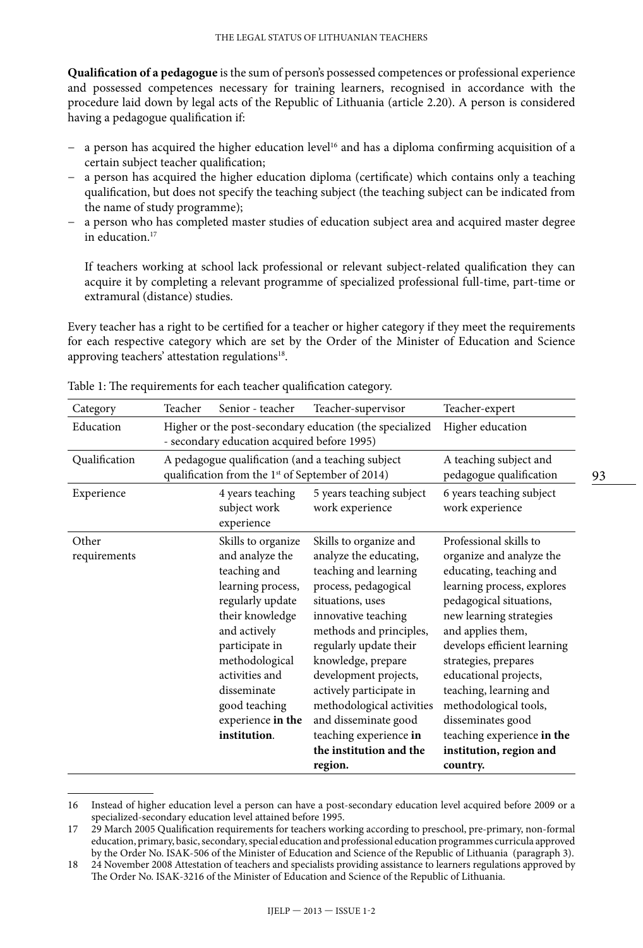**Qualification of a pedagogue** isthe sum of person's possessed competences or professional experience and possessed competences necessary for training learners, recognised in accordance with the procedure laid down by legal acts of the Republic of Lithuania (article 2.20). A person is considered having a pedagogue qualification if:

- a person has acquired the higher education level<sup>16</sup> and has a diploma confirming acquisition of a certain subject teacher qualification;
- − a person has acquired the higher education diploma (certificate) which contains only a teaching qualification, but does not specify the teaching subject (the teaching subject can be indicated from the name of study programme);
- a person who has completed master studies of education subject area and acquired master degree in education.<sup>17</sup>

If teachers working at school lack professional or relevant subject-related qualification they can acquire it by completing a relevant programme of specialized professional full-time, part-time or extramural (distance) studies.

Every teacher has a right to be certified for a teacher or higher category if they meet the requirements for each respective category which are set by the Order of the Minister of Education and Science approving teachers' attestation regulations<sup>18</sup>.

| Category              | Teacher                                                                                                           | Senior - teacher                                                                                                                                                                                                                                             | Teacher-supervisor                                                                                                                                                                                                                                                                                                                                                                               | Teacher-expert                                                                                                                                                                                                                                                                                                                                                                                                      |
|-----------------------|-------------------------------------------------------------------------------------------------------------------|--------------------------------------------------------------------------------------------------------------------------------------------------------------------------------------------------------------------------------------------------------------|--------------------------------------------------------------------------------------------------------------------------------------------------------------------------------------------------------------------------------------------------------------------------------------------------------------------------------------------------------------------------------------------------|---------------------------------------------------------------------------------------------------------------------------------------------------------------------------------------------------------------------------------------------------------------------------------------------------------------------------------------------------------------------------------------------------------------------|
| Education             |                                                                                                                   | Higher or the post-secondary education (the specialized<br>- secondary education acquired before 1995)                                                                                                                                                       | Higher education                                                                                                                                                                                                                                                                                                                                                                                 |                                                                                                                                                                                                                                                                                                                                                                                                                     |
| Qualification         | A pedagogue qualification (and a teaching subject<br>qualification from the 1 <sup>st</sup> of September of 2014) |                                                                                                                                                                                                                                                              |                                                                                                                                                                                                                                                                                                                                                                                                  | A teaching subject and<br>pedagogue qualification                                                                                                                                                                                                                                                                                                                                                                   |
| Experience            |                                                                                                                   | 4 years teaching<br>subject work<br>experience                                                                                                                                                                                                               | 5 years teaching subject<br>work experience                                                                                                                                                                                                                                                                                                                                                      | 6 years teaching subject<br>work experience                                                                                                                                                                                                                                                                                                                                                                         |
| Other<br>requirements |                                                                                                                   | Skills to organize<br>and analyze the<br>teaching and<br>learning process,<br>regularly update<br>their knowledge<br>and actively<br>participate in<br>methodological<br>activities and<br>disseminate<br>good teaching<br>experience in the<br>institution. | Skills to organize and<br>analyze the educating,<br>teaching and learning<br>process, pedagogical<br>situations, uses<br>innovative teaching<br>methods and principles,<br>regularly update their<br>knowledge, prepare<br>development projects,<br>actively participate in<br>methodological activities<br>and disseminate good<br>teaching experience in<br>the institution and the<br>region. | Professional skills to<br>organize and analyze the<br>educating, teaching and<br>learning process, explores<br>pedagogical situations,<br>new learning strategies<br>and applies them,<br>develops efficient learning<br>strategies, prepares<br>educational projects,<br>teaching, learning and<br>methodological tools,<br>disseminates good<br>teaching experience in the<br>institution, region and<br>country. |

Table 1: The requirements for each teacher qualification category.

<sup>16</sup> Instead of higher education level a person can have a post-secondary education level acquired before 2009 or a specialized-secondary education level attained before 1995.

<sup>17</sup> 29 March 2005 Qualification requirements for teachers working according to preschool, pre-primary, non-formal education, primary, basic, secondary, special education and professional education programmes curricula approved by the Order No. ISAK-506 of the Minister of Education and Science of the Republic of Lithuania (paragraph 3).

<sup>18</sup> 24 November 2008 Attestation of teachers and specialists providing assistance to learners regulations approved by The Order No. ISAK-3216 of the Minister of Education and Science of the Republic of Lithuania.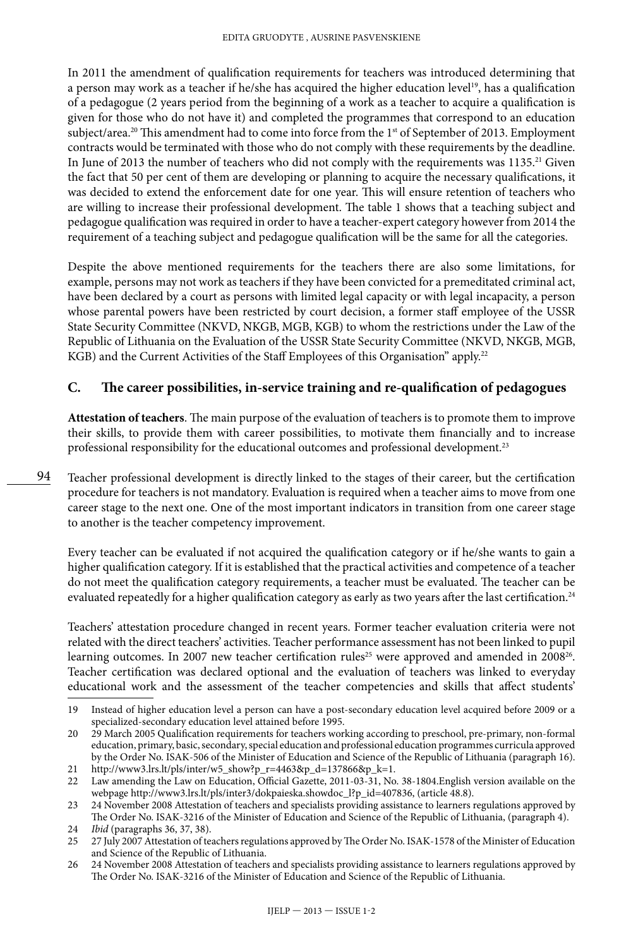In 2011 the amendment of qualification requirements for teachers was introduced determining that a person may work as a teacher if he/she has acquired the higher education level<sup>19</sup>, has a qualification of a pedagogue (2 years period from the beginning of a work as a teacher to acquire a qualification is given for those who do not have it) and completed the programmes that correspond to an education subject/area.<sup>20</sup> This amendment had to come into force from the 1<sup>st</sup> of September of 2013. Employment contracts would be terminated with those who do not comply with these requirements by the deadline. In June of 2013 the number of teachers who did not comply with the requirements was 1135.<sup>21</sup> Given the fact that 50 per cent of them are developing or planning to acquire the necessary qualifications, it was decided to extend the enforcement date for one year. This will ensure retention of teachers who are willing to increase their professional development. The table 1 shows that a teaching subject and pedagogue qualification was required in order to have a teacher-expert category however from 2014 the requirement of a teaching subject and pedagogue qualification will be the same for all the categories.

Despite the above mentioned requirements for the teachers there are also some limitations, for example, persons may not work as teachers if they have been convicted for a premeditated criminal act, have been declared by a court as persons with limited legal capacity or with legal incapacity, a person whose parental powers have been restricted by court decision, a former staff employee of the USSR State Security Committee (NKVD, NKGB, MGB, KGB) to whom the restrictions under the Law of the Republic of Lithuania on the Evaluation of the USSR State Security Committee (NKVD, NKGB, MGB, KGB) and the Current Activities of the Staff Employees of this Organisation" apply.<sup>22</sup>

#### **C. The career possibilities, in-service training and re-qualification of pedagogues**

**Attestation of teachers**. The main purpose of the evaluation of teachers is to promote them to improve their skills, to provide them with career possibilities, to motivate them financially and to increase professional responsibility for the educational outcomes and professional development.<sup>23</sup>

Teacher professional development is directly linked to the stages of their career, but the certification procedure for teachers is not mandatory. Evaluation is required when a teacher aims to move from one career stage to the next one. One of the most important indicators in transition from one career stage to another is the teacher competency improvement.

Every teacher can be evaluated if not acquired the qualification category or if he/she wants to gain a higher qualification category. If it is established that the practical activities and competence of a teacher do not meet the qualification category requirements, a teacher must be evaluated. The teacher can be evaluated repeatedly for a higher qualification category as early as two years after the last certification.<sup>24</sup>

Teachers' attestation procedure changed in recent years. Former teacher evaluation criteria were not related with the direct teachers' activities. Teacher performance assessment has not been linked to pupil learning outcomes. In 2007 new teacher certification rules<sup>25</sup> were approved and amended in 2008<sup>26</sup>. Teacher certification was declared optional and the evaluation of teachers was linked to everyday educational work and the assessment of the teacher competencies and skills that affect students'

94

<sup>19</sup> Instead of higher education level a person can have a post-secondary education level acquired before 2009 or a specialized-secondary education level attained before 1995.

<sup>20</sup> 29 March 2005 Qualification requirements for teachers working according to preschool, pre-primary, non-formal education, primary, basic, secondary, special education and professional education programmes curricula approved by the Order No. ISAK-506 of the Minister of Education and Science of the Republic of Lithuania (paragraph 16). 21 [http://www3.lrs.lt/pls/inter/w5\\_show?p\\_r=4463&p\\_d=137866&p\\_k=1.](http://www3.lrs.lt/pls/inter/w5_show?p_r=4463&p_d=137866&p_k=1)

<sup>22</sup> Law amending the Law on Education, Official Gazette, 2011-03-31, No. 38-1804.English version available on the

webpage [http://www3.lrs.lt/pls/inter3/dokpaieska.showdoc\\_l?p\\_id=407836](http://www3.lrs.lt/pls/inter3/dokpaieska.showdoc_l?p_id=407836), (article 48.8).

<sup>23</sup> 24 November 2008 Attestation of teachers and specialists providing assistance to learners regulations approved by The Order No. ISAK-3216 of the Minister of Education and Science of the Republic of Lithuania, (paragraph 4).

<sup>24</sup> *Ibid* (paragraphs 36, 37, 38).<br>25 27 July 2007 Attestation of tea

<sup>25</sup> 27 July 2007 Attestation of teachers regulations approved by The Order No. ISAK-1578 of the Minister of Education and Science of the Republic of Lithuania.

<sup>26</sup> 24 November 2008 Attestation of teachers and specialists providing assistance to learners regulations approved by The Order No. ISAK-3216 of the Minister of Education and Science of the Republic of Lithuania.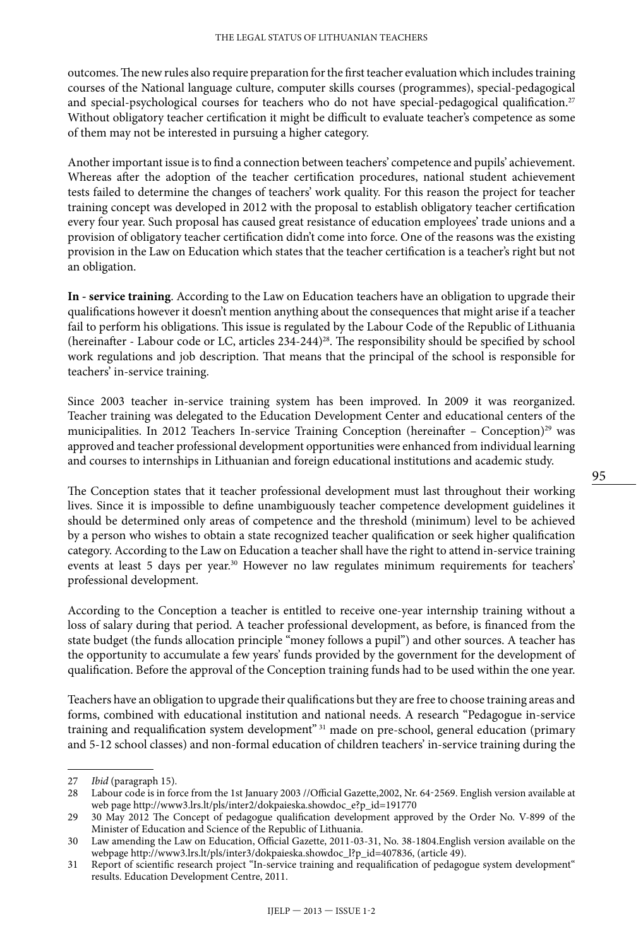outcomes. The new rules also require preparation for the first teacher evaluation which includes training courses of the National language culture, computer skills courses (programmes), special-pedagogical and special-psychological courses for teachers who do not have special-pedagogical qualification.<sup>27</sup> Without obligatory teacher certification it might be difficult to evaluate teacher's competence as some of them may not be interested in pursuing a higher category.

Another important issue is to find a connection between teachers' competence and pupils' achievement. Whereas after the adoption of the teacher certification procedures, national student achievement tests failed to determine the changes of teachers' work quality. For this reason the project for teacher training concept was developed in 2012 with the proposal to establish obligatory teacher certification every four year. Such proposal has caused great resistance of education employees' trade unions and a provision of obligatory teacher certification didn't come into force. One of the reasons was the existing provision in the Law on Education which states that the teacher certification is a teacher's right but not an obligation.

**In - service training**. According to the Law on Education teachers have an obligation to upgrade their qualifications however it doesn't mention anything about the consequences that might arise if a teacher fail to perform his obligations. This issue is regulated by the Labour Code of the Republic of Lithuania (hereinafter - Labour code or LC, articles 234-244)<sup>28</sup>. The responsibility should be specified by school work regulations and job description. That means that the principal of the school is responsible for teachers' in-service training.

Since 2003 teacher in-service training system has been improved. In 2009 it was reorganized. Teacher training was delegated to the Education Development Center and educational centers of the municipalities. In 2012 Teachers In-service Training Conception (hereinafter – Conception)<sup>29</sup> was approved and teacher professional development opportunities were enhanced from individual learning and courses to internships in Lithuanian and foreign educational institutions and academic study.

The Conception states that it teacher professional development must last throughout their working lives. Since it is impossible to define unambiguously teacher competence development guidelines it should be determined only areas of competence and the threshold (minimum) level to be achieved by a person who wishes to obtain a state recognized teacher qualification or seek higher qualification category. According to the Law on Education a teacher shall have the right to attend in-service training events at least 5 days per year.<sup>30</sup> However no law regulates minimum requirements for teachers' professional development.

According to the Conception a teacher is entitled to receive one-year internship training without a loss of salary during that period. A teacher professional development, as before, is financed from the state budget (the funds allocation principle "money follows a pupil") and other sources. A teacher has the opportunity to accumulate a few years' funds provided by the government for the development of qualification. Before the approval of the Conception training funds had to be used within the one year.

Teachers have an obligation to upgrade their qualifications but they are free to choose training areas and forms, combined with educational institution and national needs. A research "Pedagogue in-service training and requalification system development" 31 made on pre-school, general education (primary and 5-12 school classes) and non-formal education of children teachers' in-service training during the

<sup>27</sup> *Ibid* (paragraph 15).

<sup>28</sup> Labour code is in force from the 1st January 2003 //Official Gazette,2002, Nr. [64-2569](http://www3.lrs.lt/cgi-bin/preps2?a=169334&b=). English version available at web page [http://www3.lrs.lt/pls/inter2/dokpaieska.showdoc\\_e?p\\_id=191770](http://www3.lrs.lt/pls/inter2/dokpaieska.showdoc_e?p_id=191770)

<sup>29</sup> 30 May 2012 The Concept of pedagogue qualification development approved by the Order No. V-899 of the Minister of Education and Science of the Republic of Lithuania.

<sup>30</sup> Law amending the Law on Education, Official Gazette, 2011-03-31, No. 38-1804.English version available on the webpage [http://www3.lrs.lt/pls/inter3/dokpaieska.showdoc\\_l?p\\_id=407836](http://www3.lrs.lt/pls/inter3/dokpaieska.showdoc_l?p_id=407836), (article 49).

<sup>31</sup> Report of scientific research project "In-service training and requalification of pedagogue system development" results. Education Development Centre, 2011.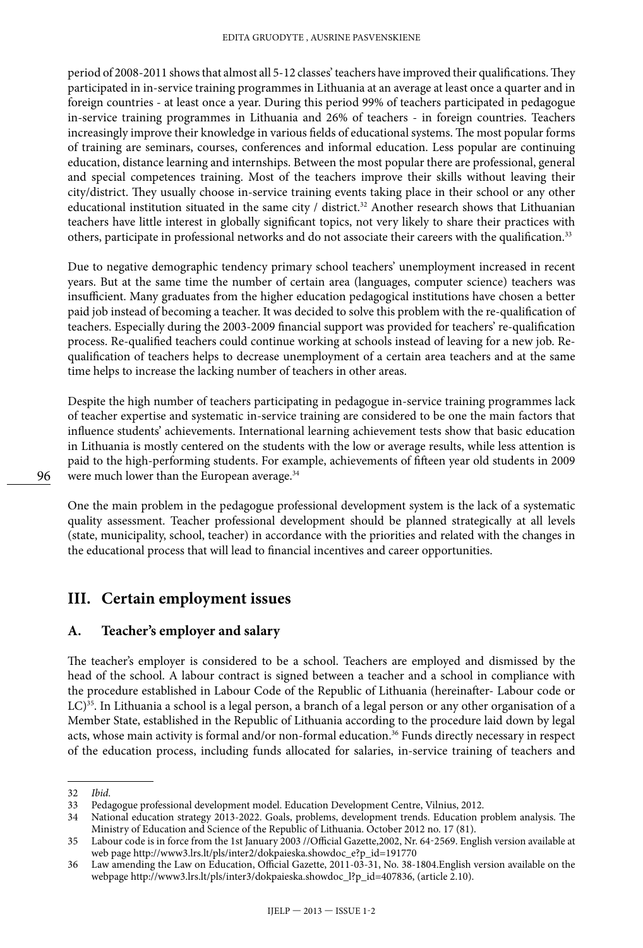period of 2008-2011 shows that almost all 5-12 classes' teachers have improved their qualifications. They participated in in-service training programmes in Lithuania at an average at least once a quarter and in foreign countries - at least once a year. During this period 99% of teachers participated in pedagogue in-service training programmes in Lithuania and 26% of teachers - in foreign countries. Teachers increasingly improve their knowledge in various fields of educational systems. The most popular forms of training are seminars, courses, conferences and informal education. Less popular are continuing education, distance learning and internships. Between the most popular there are professional, general and special competences training. Most of the teachers improve their skills without leaving their city/district. They usually choose in-service training events taking place in their school or any other educational institution situated in the same city / district.<sup>32</sup> Another research shows that Lithuanian teachers have little interest in globally significant topics, not very likely to share their practices with others, participate in professional networks and do not associate their careers with the qualification.33

Due to negative demographic tendency primary school teachers' unemployment increased in recent years. But at the same time the number of certain area (languages, computer science) teachers was insufficient. Many graduates from the higher education pedagogical institutions have chosen a better paid job instead of becoming a teacher. It was decided to solve this problem with the re-qualification of teachers. Especially during the 2003-2009 financial support was provided for teachers' re-qualification process. Re-qualified teachers could continue working at schools instead of leaving for a new job. Requalification of teachers helps to decrease unemployment of a certain area teachers and at the same time helps to increase the lacking number of teachers in other areas.

Despite the high number of teachers participating in pedagogue in-service training programmes lack of teacher expertise and systematic in-service training are considered to be one the main factors that influence students' achievements. International learning achievement tests show that basic education in Lithuania is mostly centered on the students with the low or average results, while less attention is paid to the high-performing students. For example, achievements of fifteen year old students in 2009 were much lower than the European average.<sup>34</sup>

One the main problem in the pedagogue professional development system is the lack of a systematic quality assessment. Teacher professional development should be planned strategically at all levels (state, municipality, school, teacher) in accordance with the priorities and related with the changes in the educational process that will lead to financial incentives and career opportunities.

# **III. Certain employment issues**

#### **A. Teacher's employer and salary**

The teacher's employer is considered to be a school. Teachers are employed and dismissed by the head of the school. A labour contract is signed between a teacher and a school in compliance with the procedure established in Labour Code of the Republic of Lithuania (hereinafter- Labour code or LC)<sup>35</sup>. In Lithuania a school is a legal person, a branch of a legal person or any other organisation of a Member State, established in the Republic of Lithuania according to the procedure laid down by legal acts, whose main activity is formal and/or non-formal education.<sup>36</sup> Funds directly necessary in respect of the education process, including funds allocated for salaries, in-service training of teachers and

<sup>32</sup> *Ibid*.

<sup>33</sup> Pedagogue professional development model. Education Development Centre, Vilnius, 2012.

<sup>34</sup> National education strategy 2013-2022. Goals, problems, development trends. Education problem analysis. The Ministry of Education and Science of the Republic of Lithuania. October 2012 no. 17 (81).

<sup>35</sup> Labour code is in force from the 1st January 2003 //Official Gazette,2002, Nr. [64-2569](http://www3.lrs.lt/cgi-bin/preps2?a=169334&b=). English version available at web page [http://www3.lrs.lt/pls/inter2/dokpaieska.showdoc\\_e?p\\_id=191770](http://www3.lrs.lt/pls/inter2/dokpaieska.showdoc_e?p_id=191770)

<sup>36</sup> Law amending the Law on Education, Official Gazette, 2011-03-31, No. 38-1804.English version available on the webpage [http://www3.lrs.lt/pls/inter3/dokpaieska.showdoc\\_l?p\\_id=407836](http://www3.lrs.lt/pls/inter3/dokpaieska.showdoc_l?p_id=407836), (article 2.10).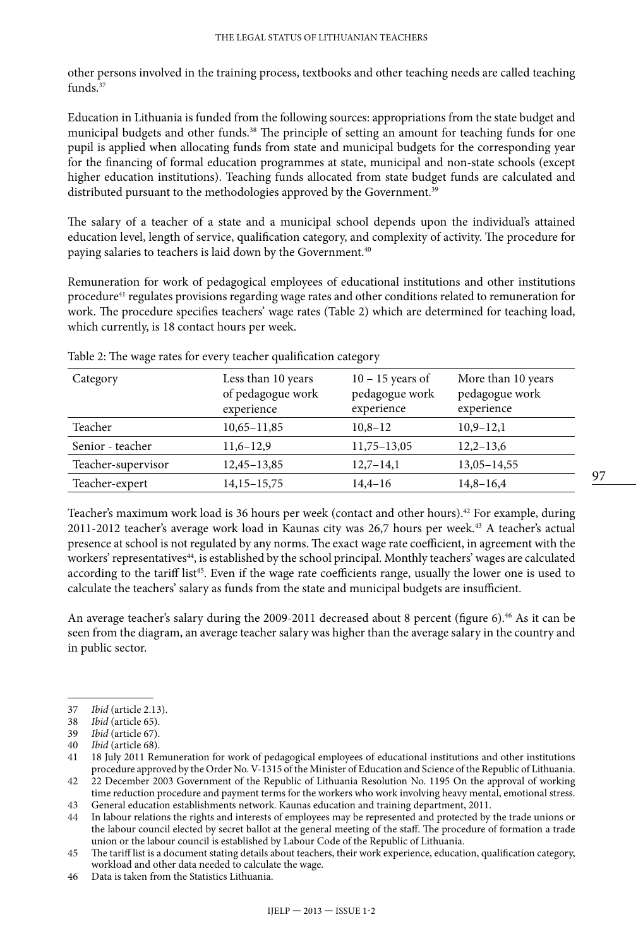other persons involved in the training process, textbooks and other teaching needs are called teaching funds. $37$ 

Education in Lithuania is funded from the following sources: appropriations from the state budget and municipal budgets and other funds.<sup>38</sup> The principle of setting an amount for teaching funds for one pupil is applied when allocating funds from state and municipal budgets for the corresponding year for the financing of formal education programmes at state, municipal and non-state schools (except higher education institutions). Teaching funds allocated from state budget funds are calculated and distributed pursuant to the methodologies approved by the Government.<sup>39</sup>

The salary of a teacher of a state and a municipal school depends upon the individual's attained education level, length of service, qualification category, and complexity of activity. The procedure for paying salaries to teachers is laid down by the Government.<sup>40</sup>

Remuneration for work of pedagogical employees of educational institutions and other institutions procedure41 regulates provisions regarding wage rates and other conditions related to remuneration for work. The procedure specifies teachers' wage rates (Table 2) which are determined for teaching load, which currently, is 18 contact hours per week.

| Category           | Less than 10 years<br>of pedagogue work<br>experience | $10 - 15$ years of<br>pedagogue work<br>experience | More than 10 years<br>pedagogue work<br>experience |
|--------------------|-------------------------------------------------------|----------------------------------------------------|----------------------------------------------------|
| Teacher            | $10,65 - 11,85$                                       | $10,8-12$                                          | $10,9-12,1$                                        |
| Senior - teacher   | $11,6-12,9$                                           | $11,75 - 13,05$                                    | $12,2-13,6$                                        |
| Teacher-supervisor | $12,45-13,85$                                         | $12,7-14,1$                                        | $13,05 - 14,55$                                    |
| Teacher-expert     | $14,15 - 15,75$                                       | $14,4-16$                                          | $14,8-16,4$                                        |

Table 2: The wage rates for every teacher qualification category

Teacher's maximum work load is 36 hours per week (contact and other hours).42 For example, during 2011-2012 teacher's average work load in Kaunas city was 26,7 hours per week.43 A teacher's actual presence at school is not regulated by any norms. The exact wage rate coefficient, in agreement with the workers' representatives<sup>44</sup>, is established by the school principal. Monthly teachers' wages are calculated according to the tariff list<sup>45</sup>. Even if the wage rate coefficients range, usually the lower one is used to calculate the teachers' salary as funds from the state and municipal budgets are insufficient.

An average teacher's salary during the 2009-2011 decreased about 8 percent (figure 6).<sup>46</sup> As it can be seen from the diagram, an average teacher salary was higher than the average salary in the country and in public sector.

44 In labour relations the rights and interests of employees may be represented and protected by the trade unions or the labour council elected by secret ballot at the general meeting of the staff. The procedure of formation a trade union or the labour council is established by Labour Code of the Republic of Lithuania.

<sup>37</sup> *Ibid* (article 2.13).

<sup>38</sup> *Ibid* (article 65).

*Ibid* (article 67).

<sup>40</sup> *Ibid* (article 68).

<sup>41</sup> 18 July 2011 Remuneration for work of pedagogical employees of educational institutions and other institutions procedure approved by the Order No. V-1315 of the Minister of Education and Science of the Republic of Lithuania. 42 22 December 2003 Government of the Republic of Lithuania Resolution No. 1195 On the approval of working

time reduction procedure and payment terms for the workers who work involving heavy mental, emotional stress. 43 General education establishments network. Kaunas education and training department, 2011.

<sup>45</sup> The tariff list is a document stating details about teachers, their work experience, education, qualification category, workload and other data needed to calculate the wage.

<sup>46</sup> Data is taken from the Statistics Lithuania.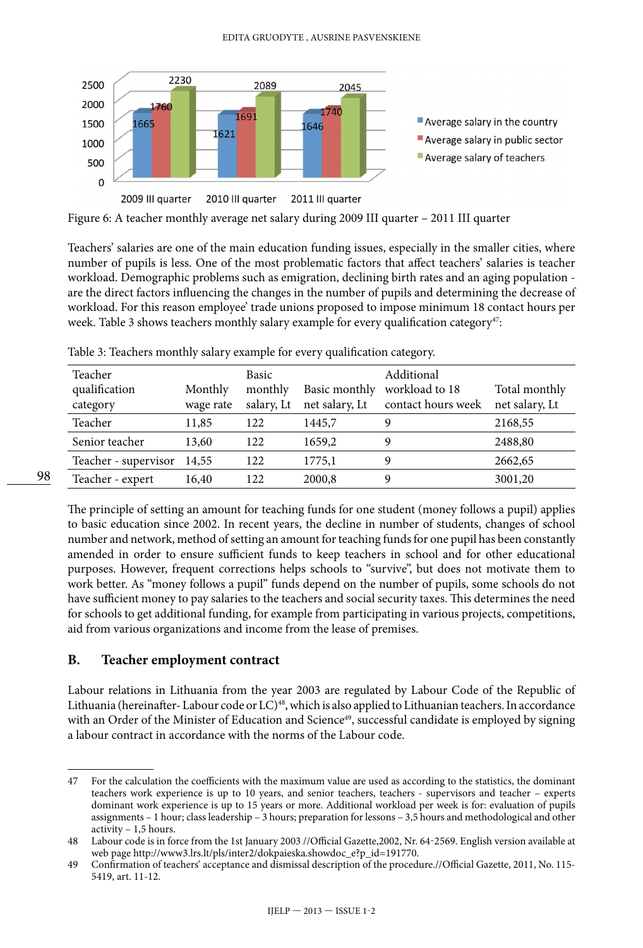

Figure 6: A teacher monthly average net salary during 2009 III quarter – 2011 III quarter

Teachers' salaries are one of the main education funding issues, especially in the smaller cities, where number of pupils is less. One of the most problematic factors that affect teachers' salaries is teacher workload. Demographic problems such as emigration, declining birth rates and an aging population are the direct factors influencing the changes in the number of pupils and determining the decrease of workload. For this reason employee' trade unions proposed to impose minimum 18 contact hours per week. Table 3 shows teachers monthly salary example for every qualification category<sup>47</sup>:

| Teacher<br>qualification<br>category | Monthly<br>wage rate | Basic<br>monthly<br>salary, Lt | Basic monthly<br>net salary, Lt | Additional<br>workload to 18<br>contact hours week | Total monthly<br>net salary, Lt |
|--------------------------------------|----------------------|--------------------------------|---------------------------------|----------------------------------------------------|---------------------------------|
| Teacher                              | 11,85                | 122                            | 1445,7                          | Q                                                  | 2168,55                         |
| Senior teacher                       | 13,60                | 122                            | 1659,2                          | Q                                                  | 2488,80                         |
| Teacher - supervisor                 | 14,55                | 122                            | 1775,1                          | Q                                                  | 2662,65                         |
| Teacher - expert                     | 16,40                | 122                            | 2000,8                          | q                                                  | 3001,20                         |

Table 3: Teachers monthly salary example for every qualification category.

The principle of setting an amount for teaching funds for one student (money follows a pupil) applies to basic education since 2002. In recent years, the decline in number of students, changes of school number and network, method of setting an amount for teaching funds for one pupil has been constantly amended in order to ensure sufficient funds to keep teachers in school and for other educational purposes. However, frequent corrections helps schools to "survive", but does not motivate them to work better. As "money follows a pupil" funds depend on the number of pupils, some schools do not have sufficient money to pay salaries to the teachers and social security taxes. This determines the need for schools to get additional funding, for example from participating in various projects, competitions, aid from various organizations and income from the lease of premises.

#### **B. Teacher employment contract**

98

Labour relations in Lithuania from the year 2003 are regulated by Labour Code of the Republic of Lithuania (hereinafter-Labour code or LC)<sup>48</sup>, which is also applied to Lithuanian teachers. In accordance with an Order of the Minister of Education and Science<sup>49</sup>, successful candidate is employed by signing a labour contract in accordance with the norms of the Labour code.

<sup>47</sup> For the calculation the coefficients with the maximum value are used as according to the statistics, the dominant teachers work experience is up to 10 years, and senior teachers, teachers - supervisors and teacher – experts dominant work experience is up to 15 years or more. Additional workload per week is for: evaluation of pupils assignments – 1 hour; class leadership – 3 hours; preparation for lessons – 3,5 hours and methodological and other activity – 1,5 hours.

<sup>48</sup> Labour code is in force from the 1st January 2003 //Official Gazette,2002, Nr. [64-2569](http://www3.lrs.lt/cgi-bin/preps2?a=169334&b=). English version available at web page [http://www3.lrs.lt/pls/inter2/dokpaieska.showdoc\\_e?p\\_id=191770](http://www3.lrs.lt/pls/inter2/dokpaieska.showdoc_e?p_id=191770).

<sup>49</sup> Confirmation of teachers' acceptance and dismissal description of the procedure.//Official Gazette, 2011, No. 115- 5419, art. 11-12.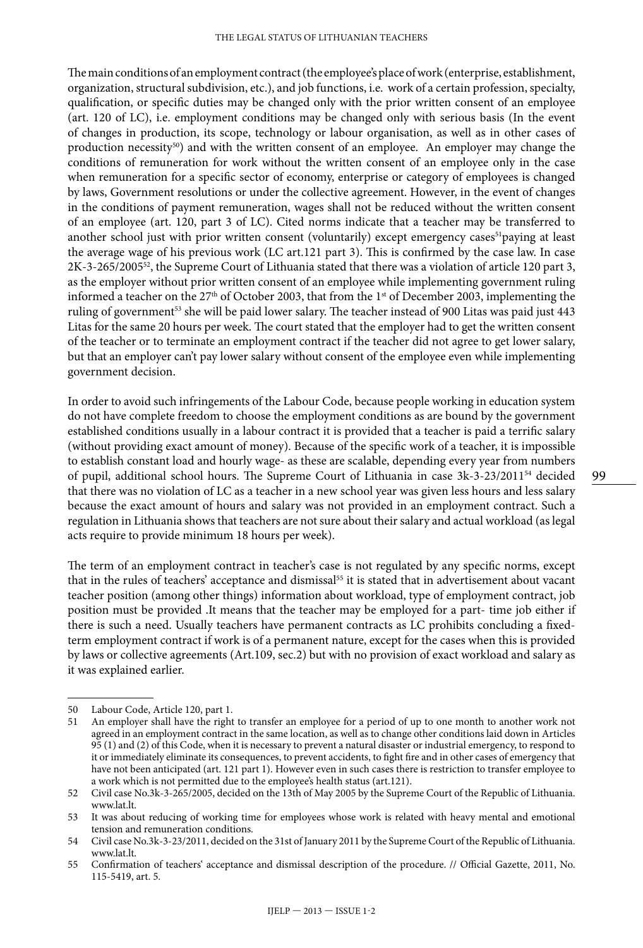The main conditions of an employment contract (the employee's place of work (enterprise, establishment, organization, structural subdivision, etc.), and job functions, i.e. work of a certain profession, specialty, qualification, or specific duties may be changed only with the prior written consent of an employee (art. 120 of LC), i.e. employment conditions may be changed only with serious basis (In the event of changes in production, its scope, technology or labour organisation, as well as in other cases of production necessity<sup>50</sup>) and with the written consent of an employee. An employer may change the conditions of remuneration for work without the written consent of an employee only in the case when remuneration for a specific sector of economy, enterprise or category of employees is changed by laws, Government resolutions or under the collective agreement. However, in the event of changes in the conditions of payment remuneration, wages shall not be reduced without the written consent of an employee (art. 120, part 3 of LC). Cited norms indicate that a teacher may be transferred to another school just with prior written consent (voluntarily) except emergency cases<sup>51</sup>paying at least the average wage of his previous work (LC art.121 part 3). This is confirmed by the case law. In case 2K-3-265/200552, the Supreme Court of Lithuania stated that there was a violation of article 120 part 3, as the employer without prior written consent of an employee while implementing government ruling informed a teacher on the 27<sup>th</sup> of October 2003, that from the 1<sup>st</sup> of December 2003, implementing the ruling of government<sup>53</sup> she will be paid lower salary. The teacher instead of 900 Litas was paid just 443 Litas for the same 20 hours per week. The court stated that the employer had to get the written consent of the teacher or to terminate an employment contract if the teacher did not agree to get lower salary, but that an employer can't pay lower salary without consent of the employee even while implementing government decision.

In order to avoid such infringements of the Labour Code, because people working in education system do not have complete freedom to choose the employment conditions as are bound by the government established conditions usually in a labour contract it is provided that a teacher is paid a terrific salary (without providing exact amount of money). Because of the specific work of a teacher, it is impossible to establish constant load and hourly wage- as these are scalable, depending every year from numbers of pupil, additional school hours. The Supreme Court of Lithuania in case 3k-3-23/201154 decided that there was no violation of LC as a teacher in a new school year was given less hours and less salary because the exact amount of hours and salary was not provided in an employment contract. Such a regulation in Lithuania shows that teachers are not sure about their salary and actual workload (as legal acts require to provide minimum 18 hours per week).

The term of an employment contract in teacher's case is not regulated by any specific norms, except that in the rules of teachers' acceptance and dismissal<sup>55</sup> it is stated that in advertisement about vacant teacher position (among other things) information about workload, type of employment contract, job position must be provided .It means that the teacher may be employed for a part- time job either if there is such a need. Usually teachers have permanent contracts as LC prohibits concluding a fixedterm employment contract if work is of a permanent nature, except for the cases when this is provided by laws or collective agreements (Art.109, sec.2) but with no provision of exact workload and salary as it was explained earlier.

<sup>50</sup> Labour Code, Article 120, part 1.

<sup>51</sup> An employer shall have the right to transfer an employee for a period of up to one month to another work not agreed in an employment contract in the same location, as well as to change other conditions laid down in Articles 95 (1) and (2) of this Code, when it is necessary to prevent a natural disaster or industrial emergency, to respond to it or immediately eliminate its consequences, to prevent accidents, to fight fire and in other cases of emergency that have not been anticipated (art. 121 part 1). However even in such cases there is restriction to transfer employee to a work which is not permitted due to the employee's health status (art.121).

<sup>52</sup> Civil case No.3k-3-265/2005, decided on the 13th of May 2005 by the Supreme Court of the Republic of Lithuania. [www.lat.lt](http://www.lat.lt).

<sup>53</sup> It was about reducing of working time for employees whose work is related with heavy mental and emotional tension and remuneration conditions.

<sup>54</sup> Civil case No.3k-3-23/2011, decided on the 31st of January 2011 by the Supreme Court of the Republic of Lithuania. [www.lat.lt](http://www.lat.lt).

<sup>55</sup> Confirmation of teachers' acceptance and dismissal description of the procedure. // Official Gazette, 2011, No. 115-5419, art. 5.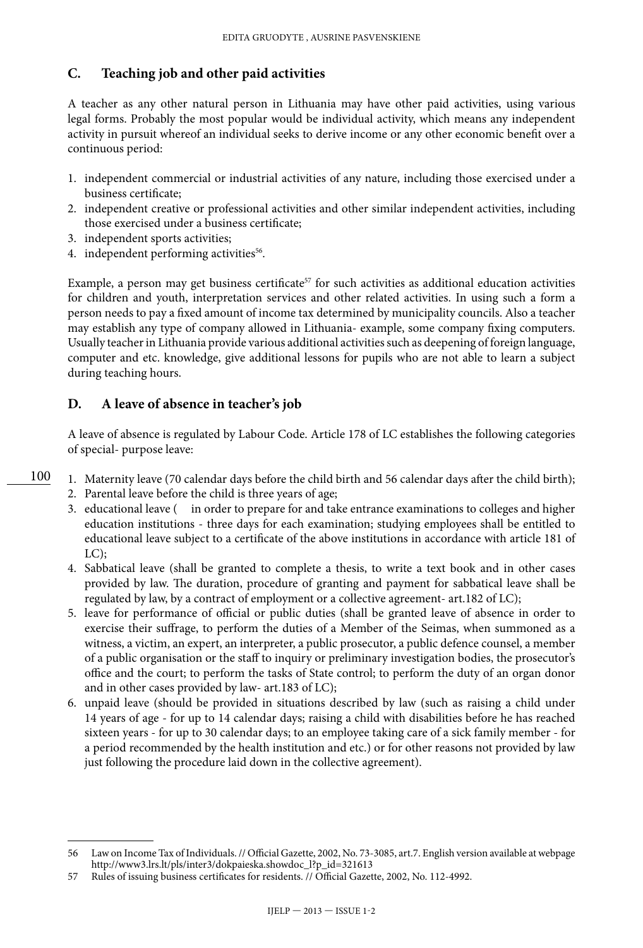### **C. Teaching job and other paid activities**

A teacher as any other natural person in Lithuania may have other paid activities, using various legal forms. Probably the most popular would be individual activity, which means any independent activity in pursuit whereof an individual seeks to derive income or any other economic benefit over a continuous period:

- 1. independent commercial or industrial activities of any nature, including those exercised under a business certificate;
- 2. independent creative or professional activities and other similar independent activities, including those exercised under a business certificate;
- 3. independent sports activities;

100

4. independent performing activities<sup>56</sup>.

Example, a person may get business certificate<sup>57</sup> for such activities as additional education activities for children and youth, interpretation services and other related activities. In using such a form a person needs to pay a fixed amount of income tax determined by municipality councils. Also a teacher may establish any type of company allowed in Lithuania- example, some company fixing computers. Usually teacher in Lithuania provide various additional activities such as deepening of foreign language, computer and etc. knowledge, give additional lessons for pupils who are not able to learn a subject during teaching hours.

## **D. A leave of absence in teacher's job**

A leave of absence is regulated by Labour Code. Article 178 of LC establishes the following categories of special- purpose leave:

- 1. Maternity leave (70 calendar days before the child birth and 56 calendar days after the child birth);
	- 2. Parental leave before the child is three years of age;
	- 3. educational leave ( in order to prepare for and take entrance examinations to colleges and higher education institutions - three days for each examination; studying employees shall be entitled to educational leave subject to a certificate of the above institutions in accordance with article 181 of LC);
	- 4. Sabbatical leave (shall be granted to complete a thesis, to write a text book and in other cases provided by law. The duration, procedure of granting and payment for sabbatical leave shall be regulated by law, by a contract of employment or a collective agreement- art.182 of LC);
	- 5. leave for performance of official or public duties (shall be granted leave of absence in order to exercise their suffrage, to perform the duties of a Member of the Seimas, when summoned as a witness, a victim, an expert, an interpreter, a public prosecutor, a public defence counsel, a member of a public organisation or the staff to inquiry or preliminary investigation bodies, the prosecutor's office and the court; to perform the tasks of State control; to perform the duty of an organ donor and in other cases provided by law- art.183 of LC);
	- 6. unpaid leave (should be provided in situations described by law (such as raising a child under 14 years of age - for up to 14 calendar days; raising a child with disabilities before he has reached sixteen years - for up to 30 calendar days; to an employee taking care of a sick family member - for a period recommended by the health institution and etc.) or for other reasons not provided by law just following the procedure laid down in the collective agreement).

<sup>56</sup> Law on Income Tax of Individuals. // Official Gazette, 2002, No. 73-3085, art.7. English version available at webpage [http://www3.lrs.lt/pls/inter3/dokpaieska.showdoc\\_l?p\\_id=321613](http://www3.lrs.lt/pls/inter3/dokpaieska.showdoc_l?p_id=321613)

<sup>57</sup> Rules of issuing business certificates for residents. // Official Gazette, 2002, No. 112-4992.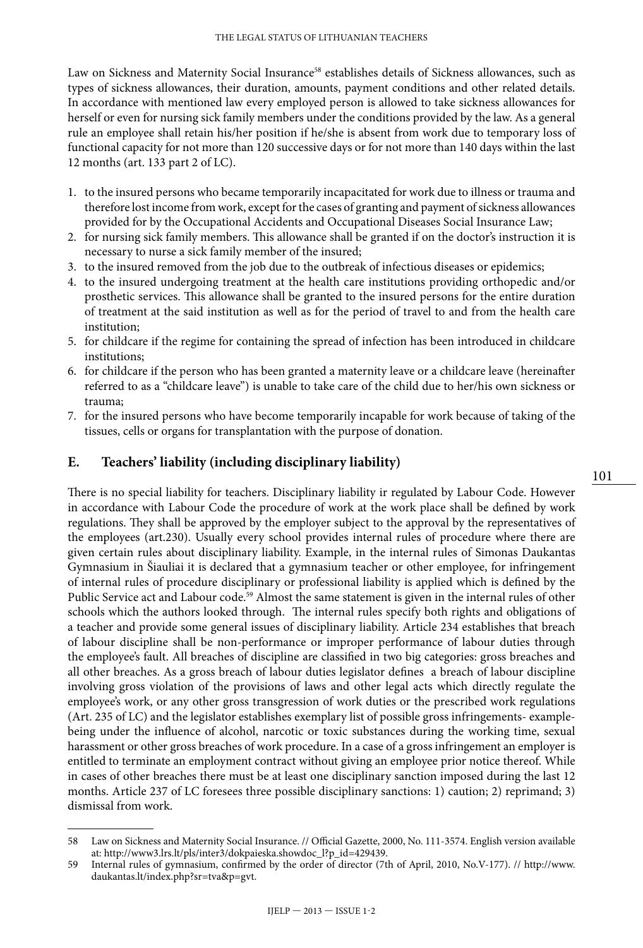Law on Sickness and Maternity Social Insurance<sup>58</sup> establishes details of Sickness allowances, such as types of sickness allowances, their duration, amounts, payment conditions and other related details. In accordance with mentioned law every employed person is allowed to take sickness allowances for herself or even for nursing sick family members under the conditions provided by the law. As a general rule an employee shall retain his/her position if he/she is absent from work due to temporary loss of functional capacity for not more than 120 successive days or for not more than 140 days within the last 12 months (art. 133 part 2 of LC).

- 1. to the insured persons who became temporarily incapacitated for work due to illness or trauma and therefore lost income from work, except for the cases of granting and payment of sickness allowances provided for by the Occupational Accidents and Occupational Diseases Social Insurance Law;
- 2. for nursing sick family members. This allowance shall be granted if on the doctor's instruction it is necessary to nurse a sick family member of the insured;
- 3. to the insured removed from the job due to the outbreak of infectious diseases or epidemics;
- 4. to the insured undergoing treatment at the health care institutions providing orthopedic and/or prosthetic services. This allowance shall be granted to the insured persons for the entire duration of treatment at the said institution as well as for the period of travel to and from the health care institution;
- 5. for childcare if the regime for containing the spread of infection has been introduced in childcare institutions;
- 6. for childcare if the person who has been granted a maternity leave or a childcare leave (hereinafter referred to as a "childcare leave") is unable to take care of the child due to her/his own sickness or trauma;
- 7. for the insured persons who have become temporarily incapable for work because of taking of the tissues, cells or organs for transplantation with the purpose of donation.

#### **E. Teachers' liability (including disciplinary liability)**

There is no special liability for teachers. Disciplinary liability ir regulated by Labour Code. However in accordance with Labour Code the procedure of work at the work place shall be defined by work regulations. They shall be approved by the employer subject to the approval by the representatives of the employees (art.230). Usually every school provides internal rules of procedure where there are given certain rules about disciplinary liability. Example, in the internal rules of Simonas Daukantas Gymnasium in Šiauliai it is declared that a gymnasium teacher or other employee, for infringement of internal rules of procedure disciplinary or professional liability is applied which is defined by the Public Service act and Labour code.<sup>59</sup> Almost the same statement is given in the internal rules of other schools which the authors looked through. The internal rules specify both rights and obligations of a teacher and provide some general issues of disciplinary liability. Article 234 establishes that breach of labour discipline shall be non-performance or improper performance of labour duties through the employee's fault. All breaches of discipline are classified in two big categories: gross breaches and all other breaches. As a gross breach of labour duties legislator defines a breach of labour discipline involving gross violation of the provisions of laws and other legal acts which directly regulate the employee's work, or any other gross transgression of work duties or the prescribed work regulations (Art. 235 of LC) and the legislator establishes exemplary list of possible gross infringements- examplebeing under the influence of alcohol, narcotic or toxic substances during the working time, sexual harassment or other gross breaches of work procedure. In a case of a gross infringement an employer is entitled to terminate an employment contract without giving an employee prior notice thereof. While in cases of other breaches there must be at least one disciplinary sanction imposed during the last 12 months. Article 237 of LC foresees three possible disciplinary sanctions: 1) caution; 2) reprimand; 3) dismissal from work.

<sup>58</sup> Law on Sickness and Maternity Social Insurance. // Official Gazette, 2000, No. 111-3574. English version available at: [http://www3.lrs.lt/pls/inter3/dokpaieska.showdoc\\_l?p\\_id=429439.](http://www3.lrs.lt/pls/inter3/dokpaieska.showdoc_l?p_id=429439)

<sup>59</sup> Internal rules of gymnasium, confirmed by the order of director (7th of April, 2010, No.V-177). // [http://www.](http://www.daukantas.lt/index.php?sr=tva&p=gvt) [daukantas.lt/index.php?sr=tva&p=gvt.](http://www.daukantas.lt/index.php?sr=tva&p=gvt)